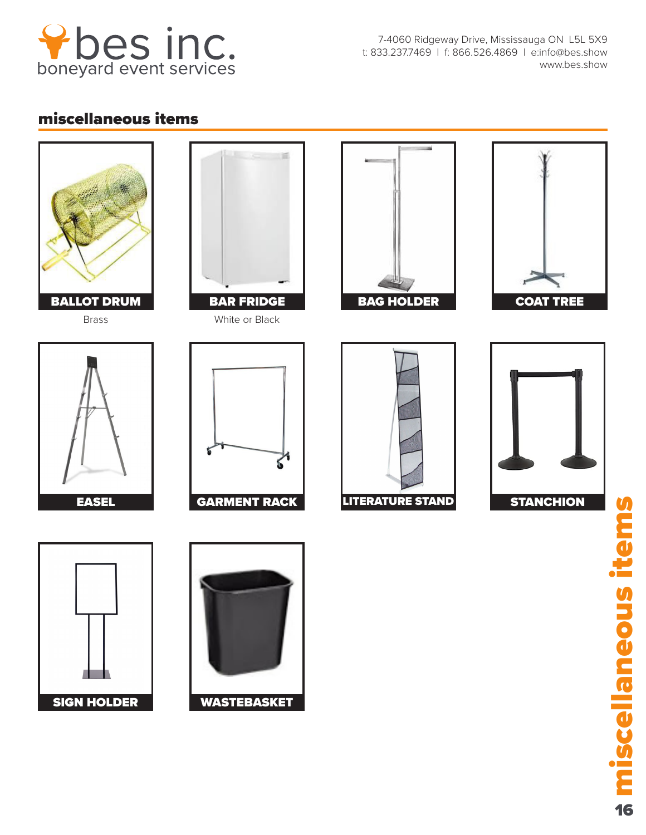

7-4060 Ridgeway Drive, Mississauga ON L5L 5X9 t: 833.237.7469 | f: 866.526.4869 | e:info@bes.show www.bes.show

## miscellaneous items